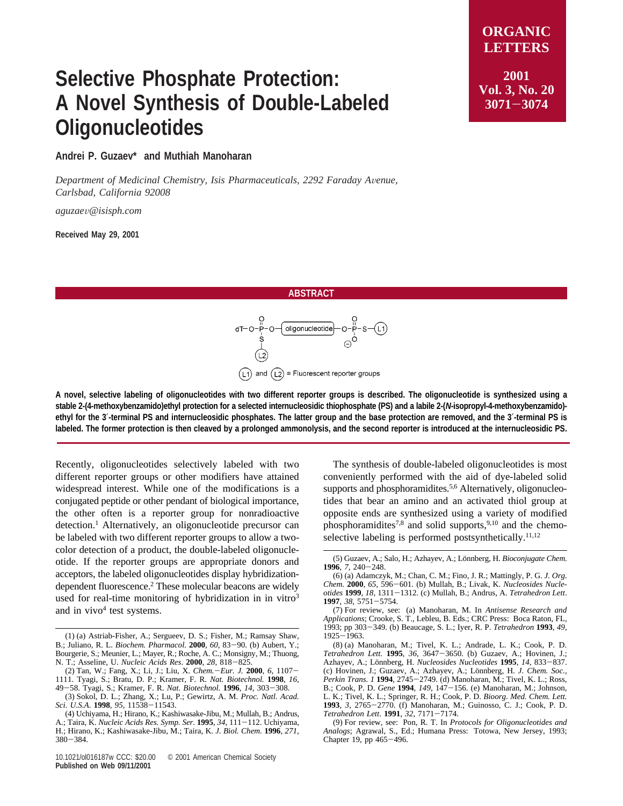## **Selective Phosphate Protection: A Novel Synthesis of Double-Labeled Oligonucleotides**

**LETTERS 2001 Vol. 3, No. 20 <sup>3071</sup>**-**<sup>3074</sup>**

**ORGANIC**

**Andrei P. Guzaev\* and Muthiah Manoharan**

*Department of Medicinal Chemistry, Isis Pharmaceuticals, 2292 Faraday A*V*enue, Carlsbad, California 92008*

*aguzae*V*@isisph.com*

**Received May 29, 2001**

## **ABSTRACT**



**A novel, selective labeling of oligonucleotides with two different reporter groups is described. The oligonucleotide is synthesized using a stable 2-(4-methoxybenzamido)ethyl protection for a selected internucleosidic thiophosphate (PS) and a labile 2-(***N***-isopropyl-4-methoxybenzamido) ethyl for the 3**′**-terminal PS and internucleosidic phosphates. The latter group and the base protection are removed, and the 3**′**-terminal PS is labeled. The former protection is then cleaved by a prolonged ammonolysis, and the second reporter is introduced at the internucleosidic PS.**

Recently, oligonucleotides selectively labeled with two different reporter groups or other modifiers have attained widespread interest. While one of the modifications is a conjugated peptide or other pendant of biological importance, the other often is a reporter group for nonradioactive detection.<sup>1</sup> Alternatively, an oligonucleotide precursor can be labeled with two different reporter groups to allow a twocolor detection of a product, the double-labeled oligonucleotide. If the reporter groups are appropriate donors and acceptors, the labeled oligonucleotides display hybridizationdependent fluorescence.<sup>2</sup> These molecular beacons are widely used for real-time monitoring of hybridization in in vitro $3$ and in  $vivo<sup>4</sup>$  test systems.

The synthesis of double-labeled oligonucleotides is most conveniently performed with the aid of dye-labeled solid supports and phosphoramidites.<sup>5,6</sup> Alternatively, oligonucleotides that bear an amino and an activated thiol group at opposite ends are synthesized using a variety of modified phosphoramidites<sup>7,8</sup> and solid supports,<sup>9,10</sup> and the chemoselective labeling is performed postsynthetically.<sup>11,12</sup>

<sup>(1) (</sup>a) Astriab-Fisher, A.; Sergueev, D. S.; Fisher, M.; Ramsay Shaw, B.; Juliano, R. L. Biochem. Pharmacol. 2000, 60, 83-90. (b) Aubert, Y.; B.; Juliano, R. L. *Biochem. Pharmacol*. **<sup>2000</sup>**, *<sup>60</sup>*, 83-90. (b) Aubert, Y.; Bourgerie, S.; Meunier, L.; Mayer, R.; Roche, A. C.; Monsigny, M.; Thuong, N. T.; Asseline, U. *Nucleic Acids Res*. **<sup>2000</sup>**, *<sup>28</sup>*, 818-825.

<sup>(2)</sup> Tan, W.; Fang, X.; Li, J.; Liu, X. *Chem.*-*Eur. J.* **<sup>2000</sup>**, *<sup>6</sup>*, 1107- 1111. Tyagi, S.; Bratu, D. P.; Kramer, F. R. *Nat. Biotechnol.* **1998**, *16*, <sup>49</sup>-58. Tyagi, S.; Kramer, F. R. *Nat. Biotechnol.* **<sup>1996</sup>**, *<sup>14</sup>*, 303-308.

<sup>(3)</sup> Sokol, D. L.; Zhang, X.; Lu, P.; Gewirtz, A. M. *Proc. Natl. Acad. Sci. U.S.A*. **<sup>1998</sup>**, *<sup>95</sup>*, 11538-11543.

<sup>(4)</sup> Uchiyama, H.; Hirano, K.; Kashiwasake-Jibu, M.; Mullah, B.; Andrus, A.; Taira, K. *Nucleic Acids Res. Symp. Ser.* **<sup>1995</sup>**, *<sup>34</sup>*, 111-112. Uchiyama, H.; Hirano, K.; Kashiwasake-Jibu, M.; Taira, K. *J. Biol. Chem.* **1996**, *271*,  $380 - 384$ .

<sup>(5)</sup> Guzaev, A.; Salo, H.; Azhayev, A.; Lönnberg, H. *Bioconjugate Chem.* **<sup>1996</sup>**, *<sup>7</sup>*, 240-248.

<sup>(6) (</sup>a) Adamczyk, M.; Chan, C. M.; Fino, J. R.; Mattingly, P. G. *J. Org. Chem.* **<sup>2000</sup>**, *<sup>65</sup>*, 596-601. (b) Mullah, B.; Livak, K. *Nucleosides Nucleotides* **<sup>1999</sup>**, *<sup>18</sup>*, 1311-1312. (c) Mullah, B.; Andrus, A. *Tetrahedron Lett*. **<sup>1997</sup>**, *<sup>38</sup>*, 5751-5754. (7) For review, see: (a) Manoharan, M. In *Antisense Research and*

*Applications*; Crooke, S. T., Lebleu, B. Eds.; CRC Press: Boca Raton, FL, 1993; pp 303-349. (b) Beaucage, S. L.; Iyer, R. P. *Tetrahedron* **<sup>1993</sup>**, *<sup>49</sup>*,  $1925 - 1963$ .

<sup>(8) (</sup>a) Manoharan, M.; Tivel, K. L.; Andrade, L. K.; Cook, P. D. *Tetrahedron Lett.* **<sup>1995</sup>**, *<sup>36</sup>*, 3647-3650. (b) Guzaev, A.; Hovinen, J.; Azhayev, A.; Lo¨nnberg, H. *Nucleosides Nucleotides* **<sup>1995</sup>**, *<sup>14</sup>*, 833-837. (c) Hovinen, J.; Guzaev, A.; Azhayev, A.; Lönnberg, H. *J. Chem. Soc., Perkin Trans. 1* 1994, 2745-2749. (d) Manoharan, M.; Tivel, K. L.; Ross, *B.*; Cook, P. D. *Gene* 1994, 149, 147-156. (e) Manoharan, M.; Johnson, B.; Cook, P. D. *Gene* **<sup>1994</sup>**, *<sup>149</sup>*, 147-156. (e) Manoharan, M.; Johnson, L. K.; Tivel, K. L.; Springer, R. H.; Cook, P. D. *Bioorg. Med. Chem. Lett.* **<sup>1993</sup>**, *<sup>3</sup>*, 2765-2770. (f) Manoharan, M.; Guinosso, C. J.; Cook, P. D. *Tetrahedron Lett*. **<sup>1991</sup>**, *<sup>32</sup>*, 7171-7174.

<sup>(9)</sup> For review, see: Pon, R. T. In *Protocols for Oligonucleotides and Analogs*; Agrawal, S., Ed.; Humana Press: Totowa, New Jersey, 1993; Chapter 19, pp 465-496.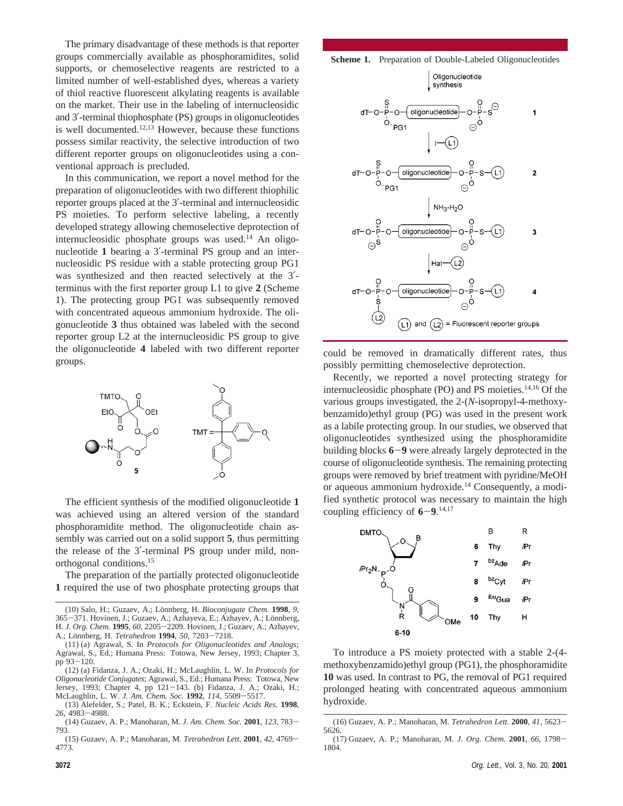The primary disadvantage of these methods is that reporter groups commercially available as phosphoramidites, solid supports, or chemoselective reagents are restricted to a limited number of well-established dyes, whereas a variety of thiol reactive fluorescent alkylating reagents is available on the market. Their use in the labeling of internucleosidic and 3′-terminal thiophosphate (PS) groups in oligonucleotides is well documented. $12,13$  However, because these functions possess similar reactivity, the selective introduction of two different reporter groups on oligonucleotides using a conventional approach is precluded.

In this communication, we report a novel method for the preparation of oligonucleotides with two different thiophilic reporter groups placed at the 3′-terminal and internucleosidic PS moieties. To perform selective labeling, a recently developed strategy allowing chemoselective deprotection of internucleosidic phosphate groups was used.14 An oligonucleotide **1** bearing a 3′-terminal PS group and an internucleosidic PS residue with a stable protecting group PG1 was synthesized and then reacted selectively at the 3′ terminus with the first reporter group L1 to give **2** (Scheme 1). The protecting group PG1 was subsequently removed with concentrated aqueous ammonium hydroxide. The oligonucleotide **3** thus obtained was labeled with the second reporter group L2 at the internucleosidic PS group to give the oligonucleotide **4** labeled with two different reporter groups.



The efficient synthesis of the modified oligonucleotide **1** was achieved using an altered version of the standard phosphoramidite method. The oligonucleotide chain assembly was carried out on a solid support **5**, thus permitting the release of the 3′-terminal PS group under mild, nonorthogonal conditions.15

The preparation of the partially protected oligonucleotide **1** required the use of two phosphate protecting groups that





could be removed in dramatically different rates, thus possibly permitting chemoselective deprotection.

Recently, we reported a novel protecting strategy for internucleosidic phosphate (PO) and PS moieties. $14,16$  Of the various groups investigated, the 2-(*N*-isopropyl-4-methoxybenzamido)ethyl group (PG) was used in the present work as a labile protecting group. In our studies, we observed that oligonucleotides synthesized using the phosphoramidite building blocks **<sup>6</sup>**-**<sup>9</sup>** were already largely deprotected in the course of oligonucleotide synthesis. The remaining protecting groups were removed by brief treatment with pyridine/MeOH or aqueous ammonium hydroxide.<sup>14</sup> Consequently, a modified synthetic protocol was necessary to maintain the high coupling efficiency of  $6-9$ .<sup>14,17</sup>



To introduce a PS moiety protected with a stable 2-(4 methoxybenzamido)ethyl group (PG1), the phosphoramidite **10** was used. In contrast to PG, the removal of PG1 required prolonged heating with concentrated aqueous ammonium hydroxide.

<sup>(10)</sup> Salo, H.; Guzaev, A.; Lönnberg, H. *Bioconjugate Chem.* **1998**, *9*, 365–371. Hovinen, J.; Guzaev, A.; Azhayeva, E.; Azhayev, A.; Lönnberg, 365-371. Hovinen, J.; Guzaev, A.; Azhayeva, E.; Azhayev, A.; Lönnberg, H. *J. Org. Chem*, 1995. 60. 2205-2209. Hovinen, J.: Guzaev, A.: Azhayev H. *J. Org. Chem.* **<sup>1995</sup>**, *<sup>60</sup>*, 2205-2209. Hovinen, J.; Guzaev, A.; Azhayev, A.; Lo¨nnberg, H. *Tetrahedron* **<sup>1994</sup>**, *<sup>50</sup>*, 7203-7218.

<sup>(11) (</sup>a) Agrawal, S. In *Protocols for Oligonucleotides and Analogs*; Agrawal, S., Ed.; Humana Press: Totowa, New Jersey, 1993; Chapter 3, pp 93-120.

<sup>(12) (</sup>a) Fidanza, J. A.; Ozaki, H.; McLaughlin, L. W. In *Protocols for Oligonucleotide Conjugates*; Agrawal, S., Ed.; Humana Press: Totowa, New Jersey, 1993; Chapter 4, pp 121-143. (b) Fidanza, J. A.; Ozaki, H.; McLaughlin, L. W. *J. Am. Chem. Soc.* **<sup>1992</sup>**, *<sup>114</sup>*, 5509-5517.

<sup>(13)</sup> Alefelder, S.; Patel, B. K.; Eckstein, F. *Nucleic Acids Res.* **1998**, *<sup>26</sup>*, 4983-4988.

<sup>(14)</sup> Guzaev, A. P.; Manoharan, M. *J. Am. Chem. Soc.* **<sup>2001</sup>**, *<sup>123</sup>*, 783- 793.

<sup>(15)</sup> Guzaev, A. P.; Manoharan, M. *Tetrahedron Lett*. **<sup>2001</sup>**, *<sup>42</sup>*, 4769- 4773.

<sup>(16)</sup> Guzaev, A. P.; Manoharan, M. *Tetrahedron Lett.* **<sup>2000</sup>**, *<sup>41</sup>*, 5623- 5626.

<sup>(17)</sup> Guzaev, A. P.; Manoharan, M. *J. Org. Chem.* **<sup>2001</sup>**, *<sup>66</sup>*, 1798- 1804.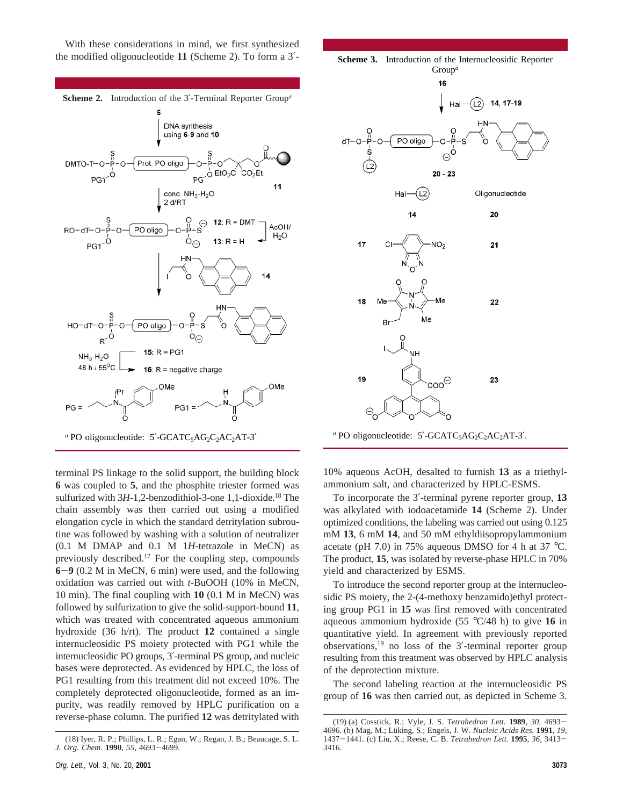With these considerations in mind, we first synthesized the modified oligonucleotide **11** (Scheme 2). To form a 3′-



terminal PS linkage to the solid support, the building block **6** was coupled to **5**, and the phosphite triester formed was sulfurized with 3H-1,2-benzodithiol-3-one 1,1-dioxide.<sup>18</sup> The chain assembly was then carried out using a modified elongation cycle in which the standard detritylation subroutine was followed by washing with a solution of neutralizer (0.1 M DMAP and 0.1 M 1*H*-tetrazole in MeCN) as previously described.17 For the coupling step, compounds **<sup>6</sup>**-**<sup>9</sup>** (0.2 M in MeCN, 6 min) were used, and the following oxidation was carried out with *t*-BuOOH (10% in MeCN, 10 min). The final coupling with **10** (0.1 M in MeCN) was followed by sulfurization to give the solid-support-bound **11**, which was treated with concentrated aqueous ammonium hydroxide (36 h/rt). The product **12** contained a single internucleosidic PS moiety protected with PG1 while the internucleosidic PO groups, 3′-terminal PS group, and nucleic bases were deprotected. As evidenced by HPLC, the loss of PG1 resulting from this treatment did not exceed 10%. The completely deprotected oligonucleotide, formed as an impurity, was readily removed by HPLC purification on a reverse-phase column. The purified **12** was detritylated with



*a* PO oligonucleotide: 5'-GCATC<sub>5</sub>AG<sub>2</sub>C<sub>2</sub>AC<sub>2</sub>AT-3'.

10% aqueous AcOH, desalted to furnish **13** as a triethylammonium salt, and characterized by HPLC-ESMS.

To incorporate the 3′-terminal pyrene reporter group, **13** was alkylated with iodoacetamide **14** (Scheme 2). Under optimized conditions, the labeling was carried out using 0.125 mM **13**, 6 mM **14**, and 50 mM ethyldiisopropylammonium acetate (pH 7.0) in 75% aqueous DMSO for 4 h at 37 °C. The product, **15**, was isolated by reverse-phase HPLC in 70% yield and characterized by ESMS.

To introduce the second reporter group at the internucleosidic PS moiety, the 2-(4-methoxy benzamido)ethyl protecting group PG1 in **15** was first removed with concentrated aqueous ammonium hydroxide (55 °C/48 h) to give **16** in quantitative yield. In agreement with previously reported observations,19 no loss of the 3′-terminal reporter group resulting from this treatment was observed by HPLC analysis of the deprotection mixture.

The second labeling reaction at the internucleosidic PS group of **16** was then carried out, as depicted in Scheme 3.

<sup>(18)</sup> Iyer, R. P.; Phillips, L. R.; Egan, W.; Regan, J. B.; Beaucage, S. L. *J. Org. Chem.* **<sup>1990</sup>**, *<sup>55</sup>*, 4693-4699.

<sup>(19) (</sup>a) Cosstick, R.; Vyle, J. S. *Tetrahedron Lett.* **<sup>1989</sup>**, *<sup>30</sup>*, 4693- 4696. (b) Mag, M.; Lüking, S.; Engels, J. W. *Nucleic Acids Res.* **1991**, *19*, <sup>1437</sup>-1441. (c) Liu, X.; Reese, C. B. *Tetrahedron Lett.* **<sup>1995</sup>**, *<sup>36</sup>*, 3413- 3416.